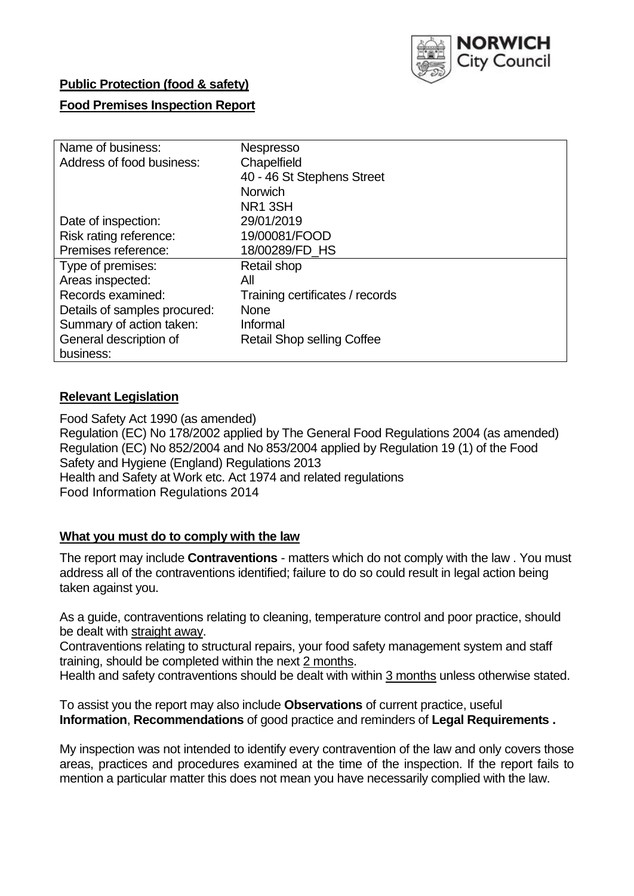

## **Public Protection (food & safety)**

### **Food Premises Inspection Report**

| Name of business:            | <b>Nespresso</b>                  |
|------------------------------|-----------------------------------|
| Address of food business:    | Chapelfield                       |
|                              | 40 - 46 St Stephens Street        |
|                              | <b>Norwich</b>                    |
|                              | NR <sub>1</sub> 3SH               |
| Date of inspection:          | 29/01/2019                        |
| Risk rating reference:       | 19/00081/FOOD                     |
| Premises reference:          | 18/00289/FD HS                    |
| Type of premises:            | Retail shop                       |
| Areas inspected:             | All                               |
| Records examined:            | Training certificates / records   |
| Details of samples procured: | <b>None</b>                       |
| Summary of action taken:     | Informal                          |
| General description of       | <b>Retail Shop selling Coffee</b> |
| business:                    |                                   |

### **Relevant Legislation**

Food Safety Act 1990 (as amended) Regulation (EC) No 178/2002 applied by The General Food Regulations 2004 (as amended) Regulation (EC) No 852/2004 and No 853/2004 applied by Regulation 19 (1) of the Food Safety and Hygiene (England) Regulations 2013 Health and Safety at Work etc. Act 1974 and related regulations Food Information Regulations 2014

#### **What you must do to comply with the law**

The report may include **Contraventions** - matters which do not comply with the law . You must address all of the contraventions identified; failure to do so could result in legal action being taken against you.

As a guide, contraventions relating to cleaning, temperature control and poor practice, should be dealt with straight away.

Contraventions relating to structural repairs, your food safety management system and staff training, should be completed within the next 2 months.

Health and safety contraventions should be dealt with within 3 months unless otherwise stated.

To assist you the report may also include **Observations** of current practice, useful **Information**, **Recommendations** of good practice and reminders of **Legal Requirements .**

My inspection was not intended to identify every contravention of the law and only covers those areas, practices and procedures examined at the time of the inspection. If the report fails to mention a particular matter this does not mean you have necessarily complied with the law.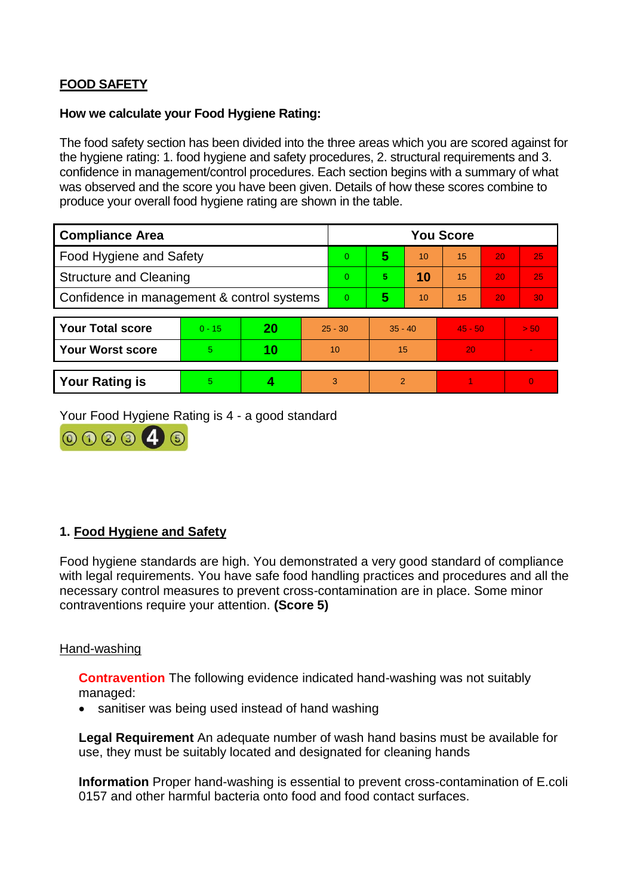# **FOOD SAFETY**

#### **How we calculate your Food Hygiene Rating:**

The food safety section has been divided into the three areas which you are scored against for the hygiene rating: 1. food hygiene and safety procedures, 2. structural requirements and 3. confidence in management/control procedures. Each section begins with a summary of what was observed and the score you have been given. Details of how these scores combine to produce your overall food hygiene rating are shown in the table.

| <b>Compliance Area</b>                     |          |    |           | <b>You Score</b> |                |    |           |    |          |  |  |
|--------------------------------------------|----------|----|-----------|------------------|----------------|----|-----------|----|----------|--|--|
| Food Hygiene and Safety                    |          |    |           | $\Omega$         | 5              | 10 | 15        | 20 | 25       |  |  |
| <b>Structure and Cleaning</b>              |          |    |           | $\Omega$         | 5              | 10 | 15        | 20 | 25       |  |  |
| Confidence in management & control systems |          |    |           | $\overline{0}$   | 5              | 10 | 15        | 20 | 30       |  |  |
|                                            |          |    |           |                  |                |    |           |    |          |  |  |
| <b>Your Total score</b>                    | $0 - 15$ | 20 | $25 - 30$ |                  | $35 - 40$      |    | $45 - 50$ |    | > 50     |  |  |
| <b>Your Worst score</b>                    | 5        | 10 | 10        |                  | 15             |    | 20        |    |          |  |  |
|                                            |          |    |           |                  |                |    |           |    |          |  |  |
| <b>Your Rating is</b>                      | 5        |    |           | 3                | $\overline{2}$ |    |           |    | $\Omega$ |  |  |

Your Food Hygiene Rating is 4 - a good standard



# **1. Food Hygiene and Safety**

Food hygiene standards are high. You demonstrated a very good standard of compliance with legal requirements. You have safe food handling practices and procedures and all the necessary control measures to prevent cross-contamination are in place. Some minor contraventions require your attention. **(Score 5)**

#### Hand-washing

**Contravention** The following evidence indicated hand-washing was not suitably managed:

• sanitiser was being used instead of hand washing

**Legal Requirement** An adequate number of wash hand basins must be available for use, they must be suitably located and designated for cleaning hands

**Information** Proper hand-washing is essential to prevent cross-contamination of E.coli 0157 and other harmful bacteria onto food and food contact surfaces.